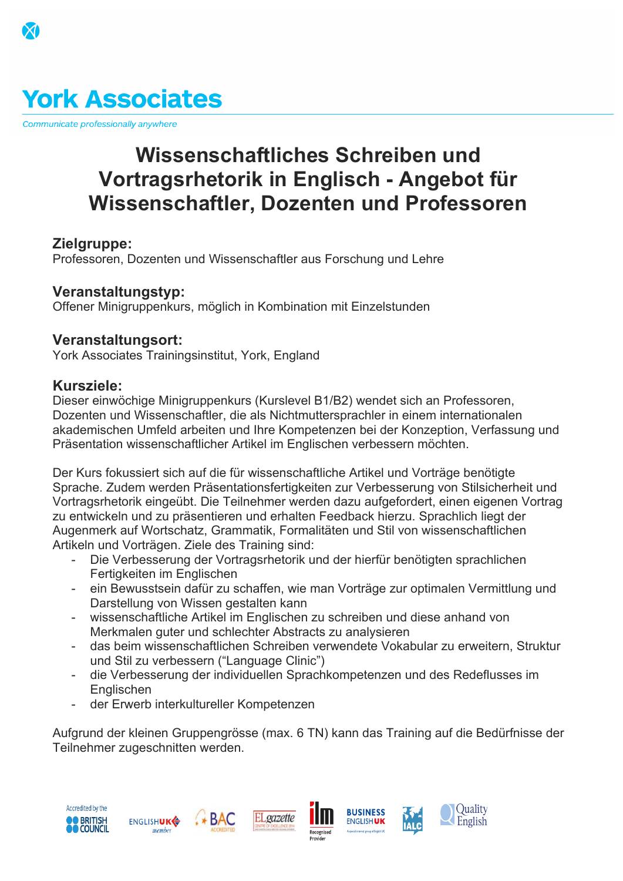## **York Associates**

Communicate professionally anywhere

#### **Course fee Price per week (GB£)** General English 15 (min. 8 weeks) General English 30 (min. 8 weeks) IELTS Preparation 24 (min. 8 weeks) **ussenschaftliches Schreiben 1998 - Portragsrhetorik in Englisch - Angeb** <del>senschaftler, Dozenten und Professo</del>ren

| Academic Year Course 30 (24/30/36 weeks)<br>Zielgruppe:                                              | £260                                  |
|------------------------------------------------------------------------------------------------------|---------------------------------------|
| Professoren, Dozenten und Wissenschaftler aus Forschur                                               | ng und Lehre<br> Price per week (GB£) |
| Veranstaltungstyipsiay - standard, half board                                                        | £175                                  |
| Offener Minigruppenkurs, möglich in Kombinatio<br>Homestay - standard, full board                    | <u>izeisiunuen</u><br>£200            |
| Veranstaltungs@sfidence - self-catering, sharing<br>York Associates Trainingsinstitut, York, England | £160                                  |

### **Package includes: Kursziele:**

member

#### **Terms And Conditions**

Dieser einwöchtige Minigruppenkurs (Kurslevel B1/B2) wendet sich an Professoren, Dozenten congovinssenschaftler, die als Nichtmuttersprachler in einem internationalen akademissen en verwindeld arbeiten und Ihre Kompetenzen beruder Wertzeption, Verfassung und Präsentation wissenschaftlicher Artikel im Englischen verbessern möchten. ✓ welcome evening 30% commission on tuition price on this offer only

Der Kurs fokussiert sich auf die für wissenschaftliche Artikel und Vorträge Benötigte Sprache. Zudem will beginnten Präsentationsfertigkeiten Zur Verbesserung von Stilsicherheit und Vortragsrhetorik eingeübt. Die Teilnehmer Werden dazu aufgefördert, einen eigenen Vortrag zu entwickeln und zu präsentieren und erhälten Feedback hierzu. Sprachlich liegt der Augenmerk auf Wortschatz, Grammatik, Formalitäten und Stil von wissenschaftlichen Artikeln und Vorträgen. Ziele des Training Sind: (012015YA) supersedes all previous offers.

Die Verbesserung der Vortragsrhetorik und der hierfür benötigten sprachlichen YORK FERRENTIGKEIten im Englischen **AYC GE 15 / 30 Feash&ThHBU wusstsein dafür zu schaffen, wie man Vorträge zur optimalen Vermittlung und Darstellung von Wissen gestalten kenn** Starter + (A1) GE Starter + (A1) <sub>von ze</sub>wissenschaftliche Artikel im Englischen zu sehr einen und diese anhand von Fluency / Hospitality Merkmalen guter und schlech<mark>t</mark>er Abstracts zu analysieren ⊠ tra**ida୍sybeim wissen**schaftlichen Schreiben verwendete Vokabular zu erweitern, Struktur t#Meil®andisting of the series of the series of the series of the series of the series of the series of the se www.yajteassperityes serung der individuellen Sprachkompetenzen und des Redeflusses im<br>Englischen Min. 8 weeks Min. 8 weeks Englischen - der Erwerb interkultureller Kompetenzen Start dates: 29.06.2015 Every Monday Member of *Other members* 28.09.2015 Aufgrund der **klein** en Gruppengrösse (max. 6 TN) kann das Training auf die Bedürfnisse der **Teilnehmer zugeschniften werden.**<br>Teilnehmer zu sie chniften werden. Hours/week: 30 15/30 GE 24 IELTS Accredited by the **Quality** *RUSINESS*  $*$  BAC **BRITISH**<br>COUNCIL ELgazette English **ENGLISHUKG ENGLISHUK** 

Recognised

**IALC**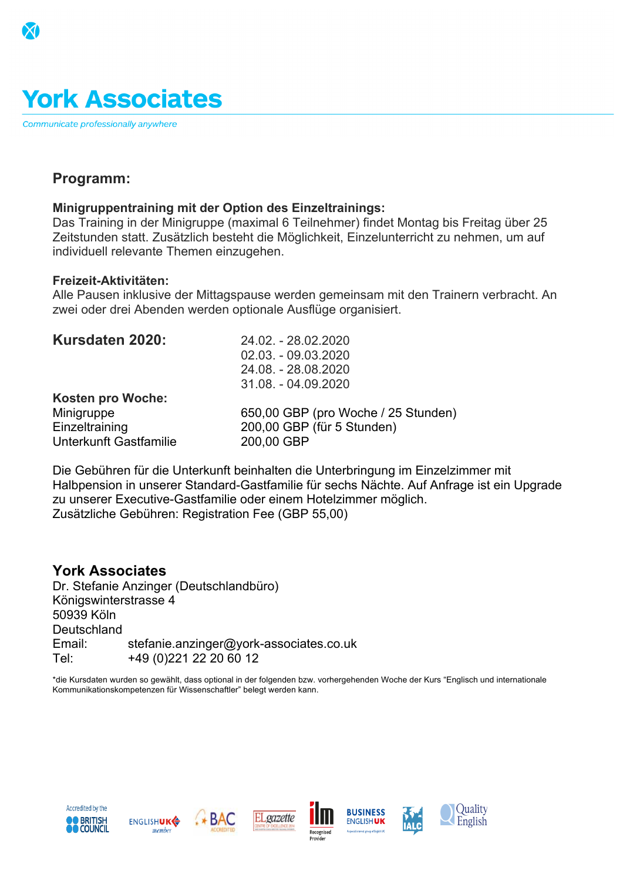## **York Associates**

Communicate professionally anywhere

|                       | Course fee                        | <b>Price per week (GB£)</b> |
|-----------------------|-----------------------------------|-----------------------------|
|                       | General English 15 (min. 8 weeks) | £210                        |
| Pr <del>ogramm:</del> | General English 30 (min. 8 weeks) | £360                        |

### **Minigruppentraining mit der Option des Einzeltrainings:**

Das Training in der Minigruppe (maximal 6 Teilnehmer) findet Montag bis Freitag über 25 Zeitstunden statt<sub>cad</sub>unsätzlich besteht die Möglichkeit, Einzelunterricht zu nehmen, um auf individuell relevante Themen einzundenden.

|                                                                   | <b>Accommodation fee</b>                                                                 |                                                                    | <b>Price per week (GB£)</b>                                                                         |  |
|-------------------------------------------------------------------|------------------------------------------------------------------------------------------|--------------------------------------------------------------------|-----------------------------------------------------------------------------------------------------|--|
|                                                                   | Fre <del>izeit-Aktivitäten:</del>                                                        |                                                                    |                                                                                                     |  |
|                                                                   | Alle Pausen inklusive eter Mittedgepeuse werden gemeinsam mit den Trainern verbracht. An |                                                                    |                                                                                                     |  |
|                                                                   | zwei oder drei Abenden werden optionale Ausfluge organisiert.                            |                                                                    | £200                                                                                                |  |
| Kursdaten 2020 besidence - self-catering, sRaffng 2. - 28.02.2020 |                                                                                          | <del>02.03. - 09.03.2020</del>                                     | £160                                                                                                |  |
|                                                                   | Package includes:                                                                        | 24.08. - 28.08.2020<br>31.08. TeOMs And 2002 Of tions              |                                                                                                     |  |
|                                                                   | Kosternaprom Motohopoked                                                                 |                                                                    | $\sqrt{\phantom{a}}$ Booking is subject to limited availability per start date and per nationality. |  |
|                                                                   | Minigmspgg @commodation registration fees included                                       |                                                                    | 650,00 GB Praftyren Wroce has an 25 So Strontrolles full term.                                      |  |
|                                                                   | Einzertraining gelcome pack'                                                             |                                                                    | 200,00 GBPRe(fürse 51 Sturreden Aublished in the YA price list 2015.                                |  |
|                                                                   | <b>UnterkemitiGastfamilie</b>                                                            | 200,00 GBIPS must be made by 30.06.2015 to qualify for this offer. |                                                                                                     |  |
|                                                                   | $\sqrt{\ }$ welcome evening                                                              |                                                                    | $\sqrt{30\%}$ commission on tuition price on this offer only.                                       |  |

Die Gebühren für die Unterkunft beinhalte h die unter bringung um Einzelzimmer mit Halbpension in serer Standard-Gastfamilie für sechs Nächte Puff Anfrage ist ein Upgrade zu unserer Executive-Gastfamilie oder ein<del>em Motelzimmer mögli</del>ng at any time. Zusätzliche Gebühren: Registration Fee (GBP<sup>s</sup> 55,00) in any other offer or contractual offers by YA.

Applicable exam fees not included

✓ This offer (012015YA) supersedes all previous offers.

| York <sub>K</sub> Associates             | Dr. StefantesAnzinger (Deutschlandbüro)                                                                          |              | <b>AYC</b>                                                                                               | GE 15/30<br><b>IELTS</b> |                                                                                                                                  |
|------------------------------------------|------------------------------------------------------------------------------------------------------------------|--------------|----------------------------------------------------------------------------------------------------------|--------------------------|----------------------------------------------------------------------------------------------------------------------------------|
| Könierswirkenstrasse 4<br>50939 Köln     |                                                                                                                  | Entry Level: | Starter $+$ (A1)                                                                                         | $GE$ Starter + $(A1)$    |                                                                                                                                  |
| Deutschland                              |                                                                                                                  |              | Academic / Business /<br><b>Fluency / Hospitality</b>                                                    | IELTS (B1)               |                                                                                                                                  |
|                                          | Emailtraining@york-sstefaniekanzinger@york-associates.co.uk                                                      |              |                                                                                                          |                          |                                                                                                                                  |
|                                          | Tel <sub>1</sub> +44 1904 6242 +49 (0) 221 22 20 60 12 Min. age:                                                 |              | 18                                                                                                       | 18                       |                                                                                                                                  |
| www.vork-associates.co.uk                | Kommunikationskompetenzen für Wissenschaftler" belegt Werden kann.<br>Follow us MarorkAssociates Mork Associates |              |                                                                                                          |                          | *die Kursdaten wurden so gewählt, dass optional in der felgenden bzw. vorhergehenden Woche der Kurs "Englisch und internationale |
| Member of                                | Other members                                                                                                    | Start dates: | 29.06.2015<br>28.09.2015                                                                                 | <b>Every Monday</b>      |                                                                                                                                  |
| AREI<br>R O U P<br>learn. grow. achieve. | ⊦\⊩                                                                                                              | Hours/week:  | 30                                                                                                       | 15/30 GE<br>24 IELTS     |                                                                                                                                  |
| Accredited by the<br><b>BRITISH</b>      | <b>ENGLISHUKG</b><br>membe                                                                                       |              | <b>BUSINESS</b><br>ENGLISH <b>UK</b><br>A special interest group of English UK<br>Recognised<br>Provider |                          | Ouality<br>English                                                                                                               |